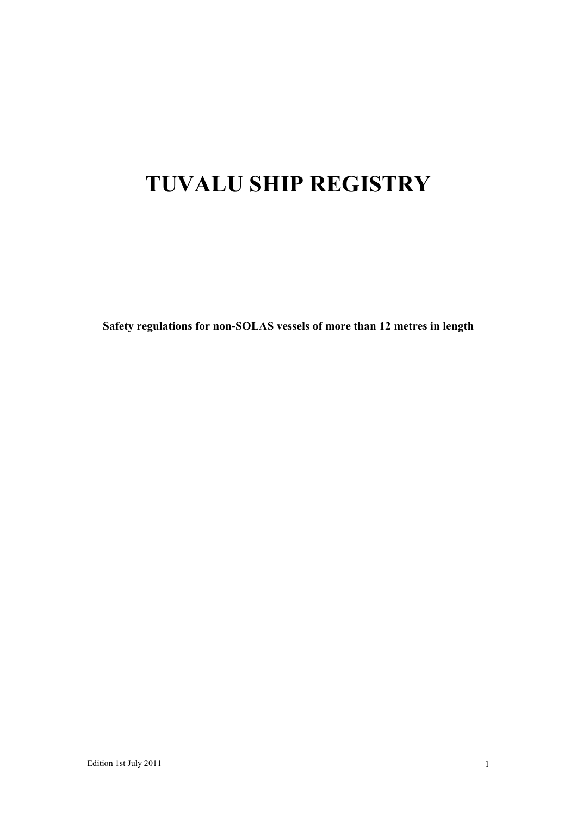# **TUVALU SHIP REGISTRY**

**Safety regulations for non-SOLAS vessels of more than 12 metres in length**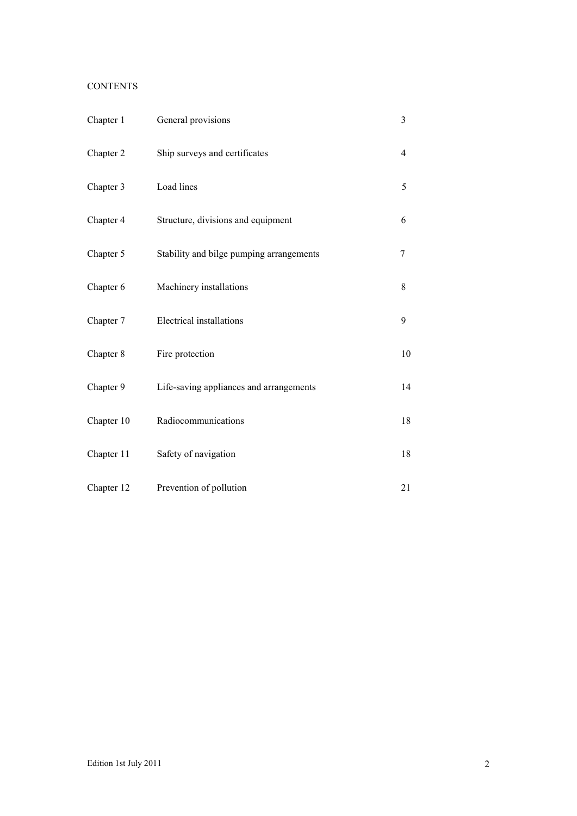# **CONTENTS**

| Chapter 1  | General provisions                       | 3              |
|------------|------------------------------------------|----------------|
| Chapter 2  | Ship surveys and certificates            | $\overline{4}$ |
| Chapter 3  | Load lines                               | 5              |
| Chapter 4  | Structure, divisions and equipment       | 6              |
| Chapter 5  | Stability and bilge pumping arrangements | 7              |
| Chapter 6  | Machinery installations                  | $8\,$          |
| Chapter 7  | Electrical installations                 | 9              |
| Chapter 8  | Fire protection                          | 10             |
| Chapter 9  | Life-saving appliances and arrangements  | 14             |
| Chapter 10 | Radiocommunications                      | 18             |
| Chapter 11 | Safety of navigation                     | 18             |
| Chapter 12 | Prevention of pollution                  | 21             |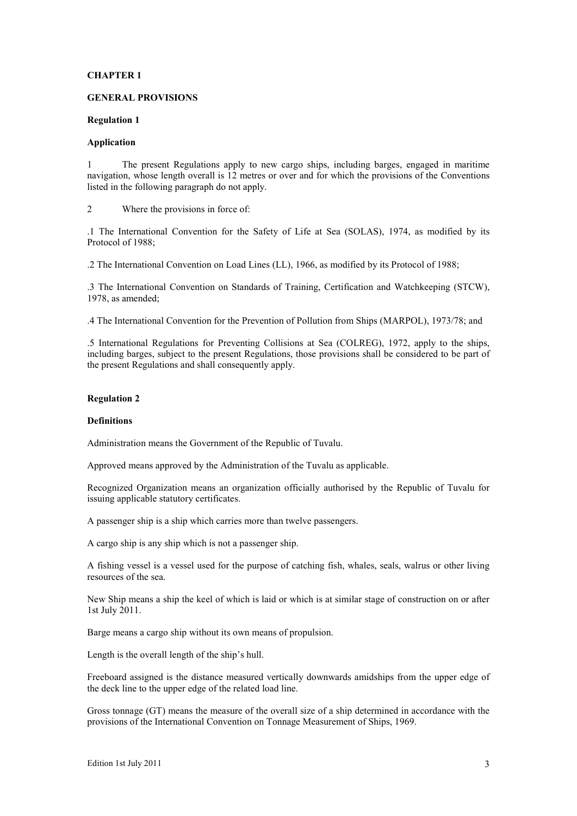# **CHAPTER 1**

#### **GENERAL PROVISIONS**

#### **Regulation 1**

# **Application**

1 The present Regulations apply to new cargo ships, including barges, engaged in maritime navigation, whose length overall is 12 metres or over and for which the provisions of the Conventions listed in the following paragraph do not apply.

2 Where the provisions in force of:

.1 The International Convention for the Safety of Life at Sea (SOLAS), 1974, as modified by its Protocol of 1988;

.2 The International Convention on Load Lines (LL), 1966, as modified by its Protocol of 1988;

.3 The International Convention on Standards of Training, Certification and Watchkeeping (STCW), 1978, as amended;

.4 The International Convention for the Prevention of Pollution from Ships (MARPOL), 1973/78; and

.5 International Regulations for Preventing Collisions at Sea (COLREG), 1972, apply to the ships, including barges, subject to the present Regulations, those provisions shall be considered to be part of the present Regulations and shall consequently apply.

## **Regulation 2**

#### **Definitions**

Administration means the Government of the Republic of Tuvalu.

Approved means approved by the Administration of the Tuvalu as applicable.

Recognized Organization means an organization officially authorised by the Republic of Tuvalu for issuing applicable statutory certificates.

A passenger ship is a ship which carries more than twelve passengers.

A cargo ship is any ship which is not a passenger ship.

A fishing vessel is a vessel used for the purpose of catching fish, whales, seals, walrus or other living resources of the sea.

New Ship means a ship the keel of which is laid or which is at similar stage of construction on or after 1st July 2011.

Barge means a cargo ship without its own means of propulsion.

Length is the overall length of the ship's hull.

Freeboard assigned is the distance measured vertically downwards amidships from the upper edge of the deck line to the upper edge of the related load line.

Gross tonnage (GT) means the measure of the overall size of a ship determined in accordance with the provisions of the International Convention on Tonnage Measurement of Ships, 1969.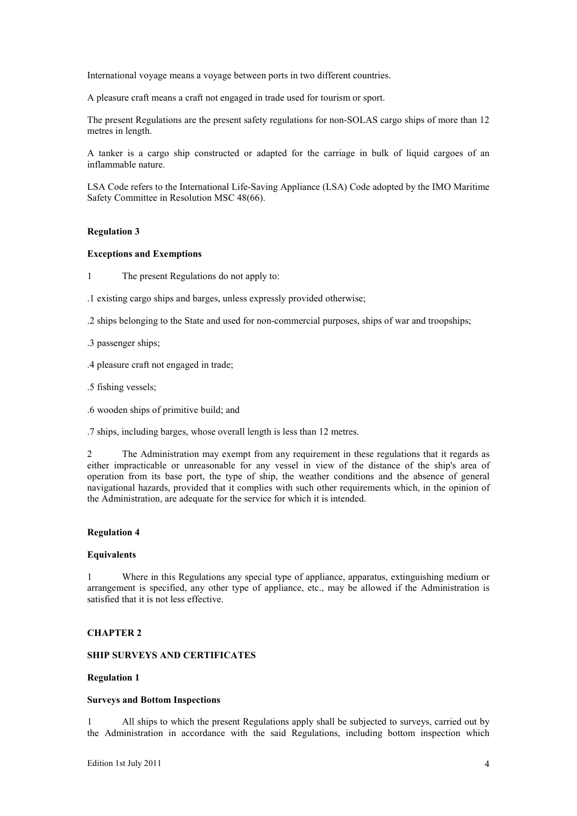International voyage means a voyage between ports in two different countries.

A pleasure craft means a craft not engaged in trade used for tourism or sport.

The present Regulations are the present safety regulations for non-SOLAS cargo ships of more than 12 metres in length.

A tanker is a cargo ship constructed or adapted for the carriage in bulk of liquid cargoes of an inflammable nature.

LSA Code refers to the International Life-Saving Appliance (LSA) Code adopted by the IMO Maritime Safety Committee in Resolution MSC 48(66).

# **Regulation 3**

# **Exceptions and Exemptions**

1 The present Regulations do not apply to:

.1 existing cargo ships and barges, unless expressly provided otherwise;

.2 ships belonging to the State and used for non-commercial purposes, ships of war and troopships;

.3 passenger ships;

.4 pleasure craft not engaged in trade;

.5 fishing vessels;

.6 wooden ships of primitive build; and

.7 ships, including barges, whose overall length is less than 12 metres.

2 The Administration may exempt from any requirement in these regulations that it regards as either impracticable or unreasonable for any vessel in view of the distance of the ship's area of operation from its base port, the type of ship, the weather conditions and the absence of general navigational hazards, provided that it complies with such other requirements which, in the opinion of the Administration, are adequate for the service for which it is intended.

#### **Regulation 4**

#### **Equivalents**

1 Where in this Regulations any special type of appliance, apparatus, extinguishing medium or arrangement is specified, any other type of appliance, etc., may be allowed if the Administration is satisfied that it is not less effective.

# **CHAPTER 2**

# **SHIP SURVEYS AND CERTIFICATES**

# **Regulation 1**

# **Surveys and Bottom Inspections**

1 All ships to which the present Regulations apply shall be subjected to surveys, carried out by the Administration in accordance with the said Regulations, including bottom inspection which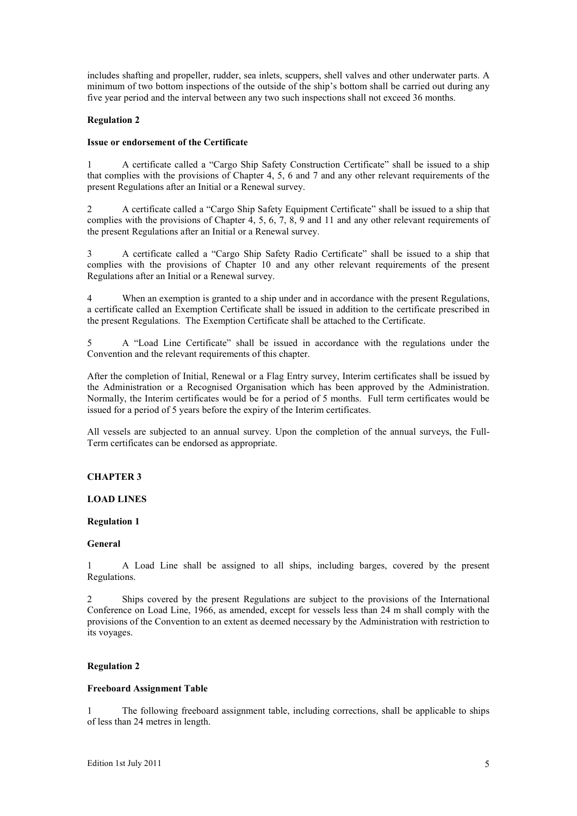includes shafting and propeller, rudder, sea inlets, scuppers, shell valves and other underwater parts. A minimum of two bottom inspections of the outside of the ship's bottom shall be carried out during any five year period and the interval between any two such inspections shall not exceed 36 months.

# **Regulation 2**

# **Issue or endorsement of the Certificate**

1 A certificate called a "Cargo Ship Safety Construction Certificate" shall be issued to a ship that complies with the provisions of Chapter 4, 5, 6 and 7 and any other relevant requirements of the present Regulations after an Initial or a Renewal survey.

2 A certificate called a "Cargo Ship Safety Equipment Certificate" shall be issued to a ship that complies with the provisions of Chapter 4, 5, 6, 7, 8, 9 and 11 and any other relevant requirements of the present Regulations after an Initial or a Renewal survey.

3 A certificate called a "Cargo Ship Safety Radio Certificate" shall be issued to a ship that complies with the provisions of Chapter 10 and any other relevant requirements of the present Regulations after an Initial or a Renewal survey.

4 When an exemption is granted to a ship under and in accordance with the present Regulations, a certificate called an Exemption Certificate shall be issued in addition to the certificate prescribed in the present Regulations. The Exemption Certificate shall be attached to the Certificate.

5 A "Load Line Certificate" shall be issued in accordance with the regulations under the Convention and the relevant requirements of this chapter.

After the completion of Initial, Renewal or a Flag Entry survey, Interim certificates shall be issued by the Administration or a Recognised Organisation which has been approved by the Administration. Normally, the Interim certificates would be for a period of 5 months. Full term certificates would be issued for a period of 5 years before the expiry of the Interim certificates.

All vessels are subjected to an annual survey. Upon the completion of the annual surveys, the Full-Term certificates can be endorsed as appropriate.

# **CHAPTER 3**

# **LOAD LINES**

# **Regulation 1**

#### **General**

1 A Load Line shall be assigned to all ships, including barges, covered by the present Regulations.

2 Ships covered by the present Regulations are subject to the provisions of the International Conference on Load Line, 1966, as amended, except for vessels less than 24 m shall comply with the provisions of the Convention to an extent as deemed necessary by the Administration with restriction to its voyages.

# **Regulation 2**

# **Freeboard Assignment Table**

1 The following freeboard assignment table, including corrections, shall be applicable to ships of less than 24 metres in length.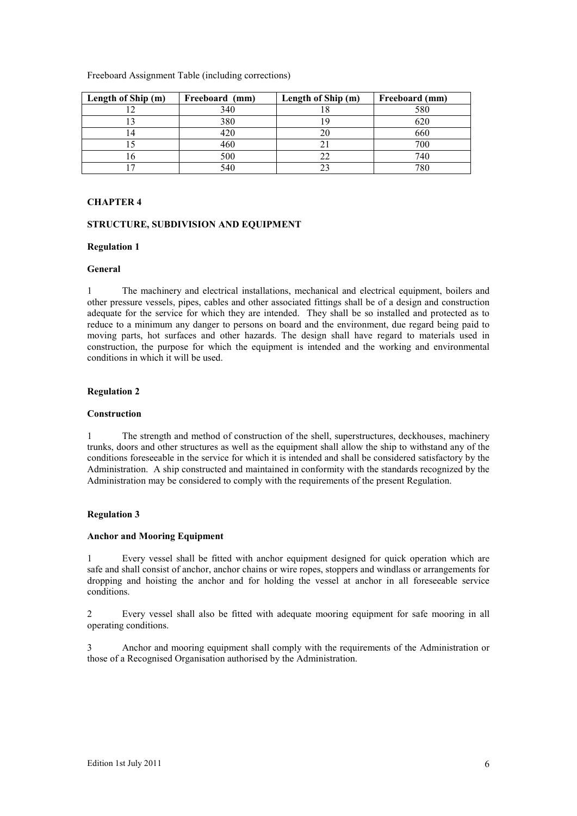Freeboard Assignment Table (including corrections)

| Length of Ship (m) | Freeboard (mm) | Length of Ship (m) | Freeboard (mm) |
|--------------------|----------------|--------------------|----------------|
|                    | 340            | . .                | 580            |
|                    | 380            |                    | 620            |
|                    | 420            |                    | 660            |
|                    | 460            |                    | 700            |
|                    | 500            |                    | 740            |
|                    | 540            |                    | 780            |

# **CHAPTER 4**

## **STRUCTURE, SUBDIVISION AND EQUIPMENT**

#### **Regulation 1**

#### **General**

1 The machinery and electrical installations, mechanical and electrical equipment, boilers and other pressure vessels, pipes, cables and other associated fittings shall be of a design and construction adequate for the service for which they are intended. They shall be so installed and protected as to reduce to a minimum any danger to persons on board and the environment, due regard being paid to moving parts, hot surfaces and other hazards. The design shall have regard to materials used in construction, the purpose for which the equipment is intended and the working and environmental conditions in which it will be used.

#### **Regulation 2**

#### **Construction**

1 The strength and method of construction of the shell, superstructures, deckhouses, machinery trunks, doors and other structures as well as the equipment shall allow the ship to withstand any of the conditions foreseeable in the service for which it is intended and shall be considered satisfactory by the Administration. A ship constructed and maintained in conformity with the standards recognized by the Administration may be considered to comply with the requirements of the present Regulation.

#### **Regulation 3**

#### **Anchor and Mooring Equipment**

1 Every vessel shall be fitted with anchor equipment designed for quick operation which are safe and shall consist of anchor, anchor chains or wire ropes, stoppers and windlass or arrangements for dropping and hoisting the anchor and for holding the vessel at anchor in all foreseeable service conditions.

2 Every vessel shall also be fitted with adequate mooring equipment for safe mooring in all operating conditions.

3 Anchor and mooring equipment shall comply with the requirements of the Administration or those of a Recognised Organisation authorised by the Administration.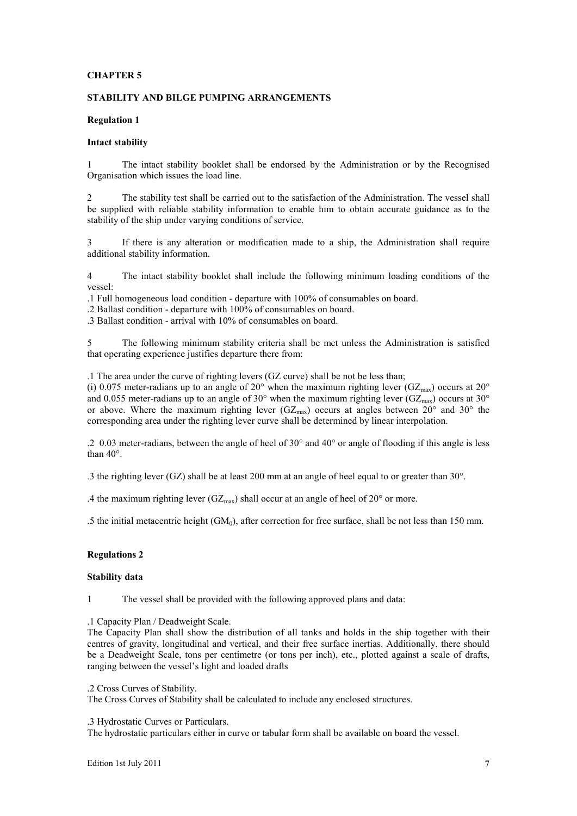# **CHAPTER 5**

# **STABILITY AND BILGE PUMPING ARRANGEMENTS**

# **Regulation 1**

# **Intact stability**

1 The intact stability booklet shall be endorsed by the Administration or by the Recognised Organisation which issues the load line.

2 The stability test shall be carried out to the satisfaction of the Administration. The vessel shall be supplied with reliable stability information to enable him to obtain accurate guidance as to the stability of the ship under varying conditions of service.

3 If there is any alteration or modification made to a ship, the Administration shall require additional stability information.

4 The intact stability booklet shall include the following minimum loading conditions of the vessel:

.1 Full homogeneous load condition - departure with 100% of consumables on board.

.2 Ballast condition - departure with 100% of consumables on board.

.3 Ballast condition - arrival with 10% of consumables on board.

5 The following minimum stability criteria shall be met unless the Administration is satisfied that operating experience justifies departure there from:

.1 The area under the curve of righting levers (GZ curve) shall be not be less than;

(i) 0.075 meter-radians up to an angle of 20° when the maximum righting lever (GZ<sub>max</sub>) occurs at 20° and 0.055 meter-radians up to an angle of 30° when the maximum righting lever (GZ<sub>max</sub>) occurs at 30° or above. Where the maximum righting lever  $(GZ_{max})$  occurs at angles between  $20^{\circ}$  and  $30^{\circ}$  the corresponding area under the righting lever curve shall be determined by linear interpolation.

.2 0.03 meter-radians, between the angle of heel of 30° and 40° or angle of flooding if this angle is less than 40°.

.3 the righting lever (GZ) shall be at least 200 mm at an angle of heel equal to or greater than 30°.

.4 the maximum righting lever  $(GZ_{\text{max}})$  shall occur at an angle of heel of 20° or more.

.5 the initial metacentric height  $(GM_0)$ , after correction for free surface, shall be not less than 150 mm.

#### **Regulations 2**

# **Stability data**

1 The vessel shall be provided with the following approved plans and data:

.1 Capacity Plan / Deadweight Scale.

The Capacity Plan shall show the distribution of all tanks and holds in the ship together with their centres of gravity, longitudinal and vertical, and their free surface inertias. Additionally, there should be a Deadweight Scale, tons per centimetre (or tons per inch), etc., plotted against a scale of drafts, ranging between the vessel's light and loaded drafts

.2 Cross Curves of Stability.

The Cross Curves of Stability shall be calculated to include any enclosed structures.

.3 Hydrostatic Curves or Particulars.

The hydrostatic particulars either in curve or tabular form shall be available on board the vessel.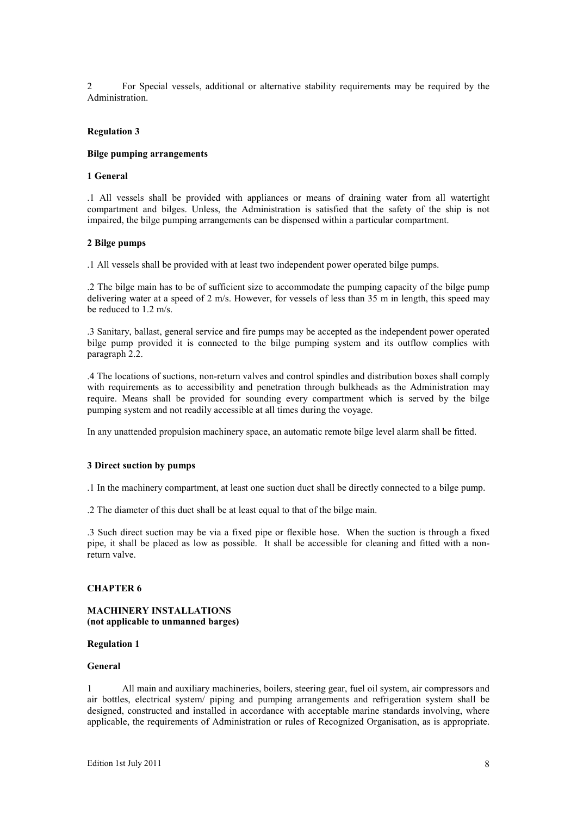2 For Special vessels, additional or alternative stability requirements may be required by the Administration.

#### **Regulation 3**

#### **Bilge pumping arrangements**

## **1 General**

.1 All vessels shall be provided with appliances or means of draining water from all watertight compartment and bilges. Unless, the Administration is satisfied that the safety of the ship is not impaired, the bilge pumping arrangements can be dispensed within a particular compartment.

#### **2 Bilge pumps**

.1 All vessels shall be provided with at least two independent power operated bilge pumps.

.2 The bilge main has to be of sufficient size to accommodate the pumping capacity of the bilge pump delivering water at a speed of 2 m/s. However, for vessels of less than 35 m in length, this speed may be reduced to 1.2 m/s.

.3 Sanitary, ballast, general service and fire pumps may be accepted as the independent power operated bilge pump provided it is connected to the bilge pumping system and its outflow complies with paragraph 2.2.

.4 The locations of suctions, non-return valves and control spindles and distribution boxes shall comply with requirements as to accessibility and penetration through bulkheads as the Administration may require. Means shall be provided for sounding every compartment which is served by the bilge pumping system and not readily accessible at all times during the voyage.

In any unattended propulsion machinery space, an automatic remote bilge level alarm shall be fitted.

#### **3 Direct suction by pumps**

.1 In the machinery compartment, at least one suction duct shall be directly connected to a bilge pump.

.2 The diameter of this duct shall be at least equal to that of the bilge main.

.3 Such direct suction may be via a fixed pipe or flexible hose. When the suction is through a fixed pipe, it shall be placed as low as possible. It shall be accessible for cleaning and fitted with a nonreturn valve.

# **CHAPTER 6**

# **MACHINERY INSTALLATIONS (not applicable to unmanned barges)**

# **Regulation 1**

#### **General**

1 All main and auxiliary machineries, boilers, steering gear, fuel oil system, air compressors and air bottles, electrical system/ piping and pumping arrangements and refrigeration system shall be designed, constructed and installed in accordance with acceptable marine standards involving, where applicable, the requirements of Administration or rules of Recognized Organisation, as is appropriate.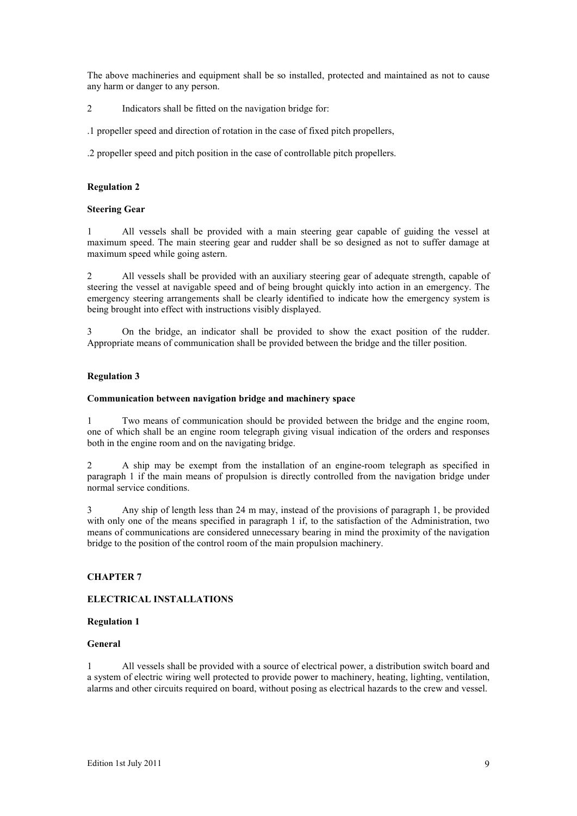The above machineries and equipment shall be so installed, protected and maintained as not to cause any harm or danger to any person.

2 Indicators shall be fitted on the navigation bridge for:

.1 propeller speed and direction of rotation in the case of fixed pitch propellers,

.2 propeller speed and pitch position in the case of controllable pitch propellers.

## **Regulation 2**

#### **Steering Gear**

1 All vessels shall be provided with a main steering gear capable of guiding the vessel at maximum speed. The main steering gear and rudder shall be so designed as not to suffer damage at maximum speed while going astern.

2 All vessels shall be provided with an auxiliary steering gear of adequate strength, capable of steering the vessel at navigable speed and of being brought quickly into action in an emergency. The emergency steering arrangements shall be clearly identified to indicate how the emergency system is being brought into effect with instructions visibly displayed.

3 On the bridge, an indicator shall be provided to show the exact position of the rudder. Appropriate means of communication shall be provided between the bridge and the tiller position.

## **Regulation 3**

#### **Communication between navigation bridge and machinery space**

1 Two means of communication should be provided between the bridge and the engine room, one of which shall be an engine room telegraph giving visual indication of the orders and responses both in the engine room and on the navigating bridge.

2 A ship may be exempt from the installation of an engine-room telegraph as specified in paragraph 1 if the main means of propulsion is directly controlled from the navigation bridge under normal service conditions.

3 Any ship of length less than 24 m may, instead of the provisions of paragraph 1, be provided with only one of the means specified in paragraph 1 if, to the satisfaction of the Administration, two means of communications are considered unnecessary bearing in mind the proximity of the navigation bridge to the position of the control room of the main propulsion machinery.

# **CHAPTER 7**

# **ELECTRICAL INSTALLATIONS**

# **Regulation 1**

#### **General**

1 All vessels shall be provided with a source of electrical power, a distribution switch board and a system of electric wiring well protected to provide power to machinery, heating, lighting, ventilation, alarms and other circuits required on board, without posing as electrical hazards to the crew and vessel.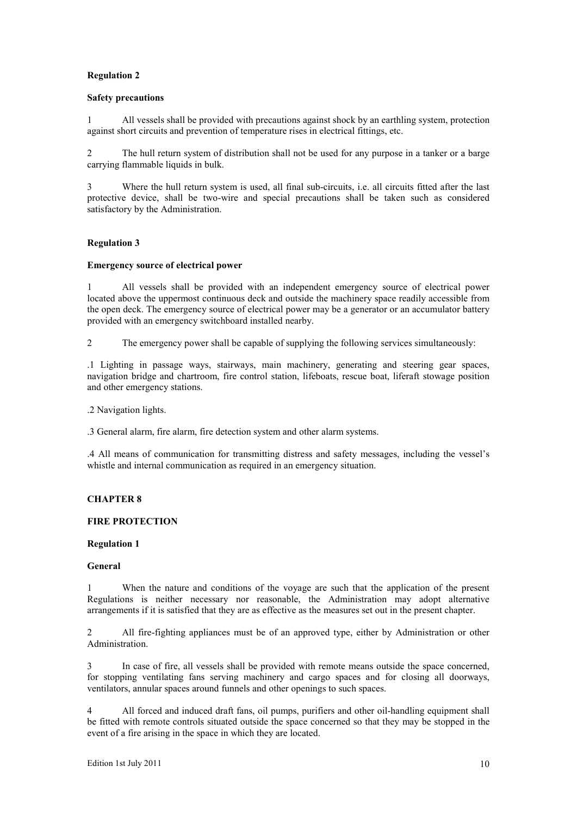# **Safety precautions**

1 All vessels shall be provided with precautions against shock by an earthling system, protection against short circuits and prevention of temperature rises in electrical fittings, etc.

2 The hull return system of distribution shall not be used for any purpose in a tanker or a barge carrying flammable liquids in bulk.

3 Where the hull return system is used, all final sub-circuits, i.e. all circuits fitted after the last protective device, shall be two-wire and special precautions shall be taken such as considered satisfactory by the Administration.

# **Regulation 3**

# **Emergency source of electrical power**

1 All vessels shall be provided with an independent emergency source of electrical power located above the uppermost continuous deck and outside the machinery space readily accessible from the open deck. The emergency source of electrical power may be a generator or an accumulator battery provided with an emergency switchboard installed nearby.

2 The emergency power shall be capable of supplying the following services simultaneously:

.1 Lighting in passage ways, stairways, main machinery, generating and steering gear spaces, navigation bridge and chartroom, fire control station, lifeboats, rescue boat, liferaft stowage position and other emergency stations.

.2 Navigation lights.

.3 General alarm, fire alarm, fire detection system and other alarm systems.

.4 All means of communication for transmitting distress and safety messages, including the vessel's whistle and internal communication as required in an emergency situation.

# **CHAPTER 8**

# **FIRE PROTECTION**

#### **Regulation 1**

#### **General**

1 When the nature and conditions of the voyage are such that the application of the present Regulations is neither necessary nor reasonable, the Administration may adopt alternative arrangements if it is satisfied that they are as effective as the measures set out in the present chapter.

2 All fire-fighting appliances must be of an approved type, either by Administration or other Administration.

3 In case of fire, all vessels shall be provided with remote means outside the space concerned, for stopping ventilating fans serving machinery and cargo spaces and for closing all doorways, ventilators, annular spaces around funnels and other openings to such spaces.

4 All forced and induced draft fans, oil pumps, purifiers and other oil-handling equipment shall be fitted with remote controls situated outside the space concerned so that they may be stopped in the event of a fire arising in the space in which they are located.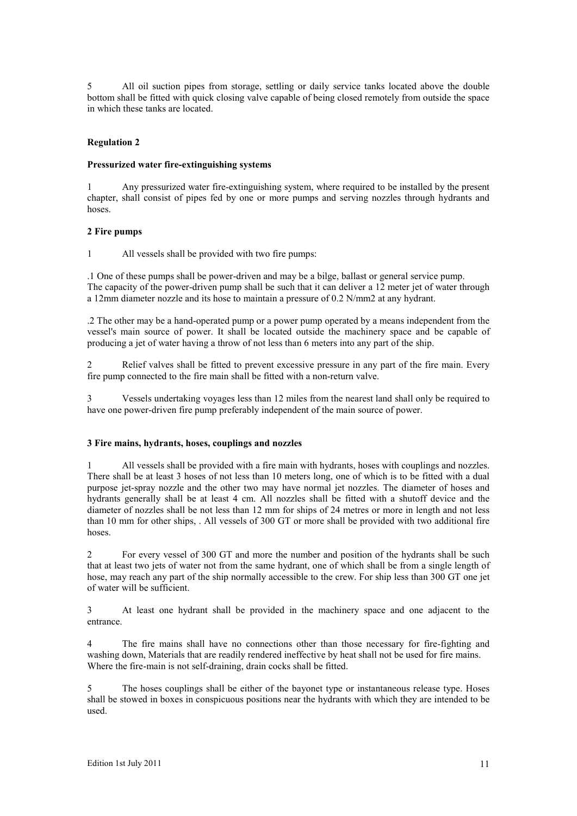5 All oil suction pipes from storage, settling or daily service tanks located above the double bottom shall be fitted with quick closing valve capable of being closed remotely from outside the space in which these tanks are located.

# **Regulation 2**

# **Pressurized water fire-extinguishing systems**

1 Any pressurized water fire-extinguishing system, where required to be installed by the present chapter, shall consist of pipes fed by one or more pumps and serving nozzles through hydrants and hoses.

# **2 Fire pumps**

1 All vessels shall be provided with two fire pumps:

.1 One of these pumps shall be power-driven and may be a bilge, ballast or general service pump. The capacity of the power-driven pump shall be such that it can deliver a 12 meter jet of water through a 12mm diameter nozzle and its hose to maintain a pressure of 0.2 N/mm2 at any hydrant.

.2 The other may be a hand-operated pump or a power pump operated by a means independent from the vessel's main source of power. It shall be located outside the machinery space and be capable of producing a jet of water having a throw of not less than 6 meters into any part of the ship.

2 Relief valves shall be fitted to prevent excessive pressure in any part of the fire main. Every fire pump connected to the fire main shall be fitted with a non-return valve.

3 Vessels undertaking voyages less than 12 miles from the nearest land shall only be required to have one power-driven fire pump preferably independent of the main source of power.

#### **3 Fire mains, hydrants, hoses, couplings and nozzles**

1 All vessels shall be provided with a fire main with hydrants, hoses with couplings and nozzles. There shall be at least 3 hoses of not less than 10 meters long, one of which is to be fitted with a dual purpose jet-spray nozzle and the other two may have normal jet nozzles. The diameter of hoses and hydrants generally shall be at least 4 cm. All nozzles shall be fitted with a shutoff device and the diameter of nozzles shall be not less than 12 mm for ships of 24 metres or more in length and not less than 10 mm for other ships, . All vessels of 300 GT or more shall be provided with two additional fire hoses.

2 For every vessel of 300 GT and more the number and position of the hydrants shall be such that at least two jets of water not from the same hydrant, one of which shall be from a single length of hose, may reach any part of the ship normally accessible to the crew. For ship less than 300 GT one jet of water will be sufficient.

3 At least one hydrant shall be provided in the machinery space and one adjacent to the entrance.

4 The fire mains shall have no connections other than those necessary for fire-fighting and washing down, Materials that are readily rendered ineffective by heat shall not be used for fire mains. Where the fire-main is not self-draining, drain cocks shall be fitted.

5 The hoses couplings shall be either of the bayonet type or instantaneous release type. Hoses shall be stowed in boxes in conspicuous positions near the hydrants with which they are intended to be used.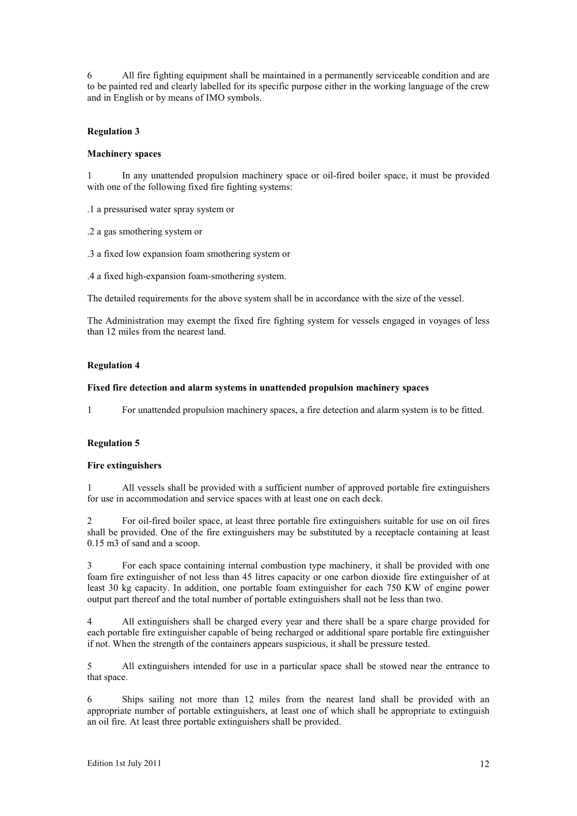6 All fire fighting equipment shall be maintained in a permanently serviceable condition and are to be painted red and clearly labelled for its specific purpose either in the working language of the crew and in English or by means of IMO symbols.

# **Regulation 3**

# **Machinery spaces**

1 In any unattended propulsion machinery space or oil-fired boiler space, it must be provided with one of the following fixed fire fighting systems:

.1 a pressurised water spray system or

.2 a gas smothering system or

.3 a fixed low expansion foam smothering system or

.4 a fixed high-expansion foam-smothering system.

The detailed requirements for the above system shall be in accordance with the size of the vessel.

The Administration may exempt the fixed fire fighting system for vessels engaged in voyages of less than 12 miles from the nearest land.

## **Regulation 4**

## **Fixed fire detection and alarm systems in unattended propulsion machinery spaces**

1 For unattended propulsion machinery spaces, a fire detection and alarm system is to be fitted.

# **Regulation 5**

#### **Fire extinguishers**

1 All vessels shall be provided with a sufficient number of approved portable fire extinguishers for use in accommodation and service spaces with at least one on each deck.

2 For oil-fired boiler space, at least three portable fire extinguishers suitable for use on oil fires shall be provided. One of the fire extinguishers may be substituted by a receptacle containing at least 0.15 m3 of sand and a scoop.

3 For each space containing internal combustion type machinery, it shall be provided with one foam fire extinguisher of not less than 45 litres capacity or one carbon dioxide fire extinguisher of at least 30 kg capacity. In addition, one portable foam extinguisher for each 750 KW of engine power output part thereof and the total number of portable extinguishers shall not be less than two.

4 All extinguishers shall be charged every year and there shall be a spare charge provided for each portable fire extinguisher capable of being recharged or additional spare portable fire extinguisher if not. When the strength of the containers appears suspicious, it shall be pressure tested.

5 All extinguishers intended for use in a particular space shall be stowed near the entrance to that space.

6 Ships sailing not more than 12 miles from the nearest land shall be provided with an appropriate number of portable extinguishers, at least one of which shall be appropriate to extinguish an oil fire. At least three portable extinguishers shall be provided.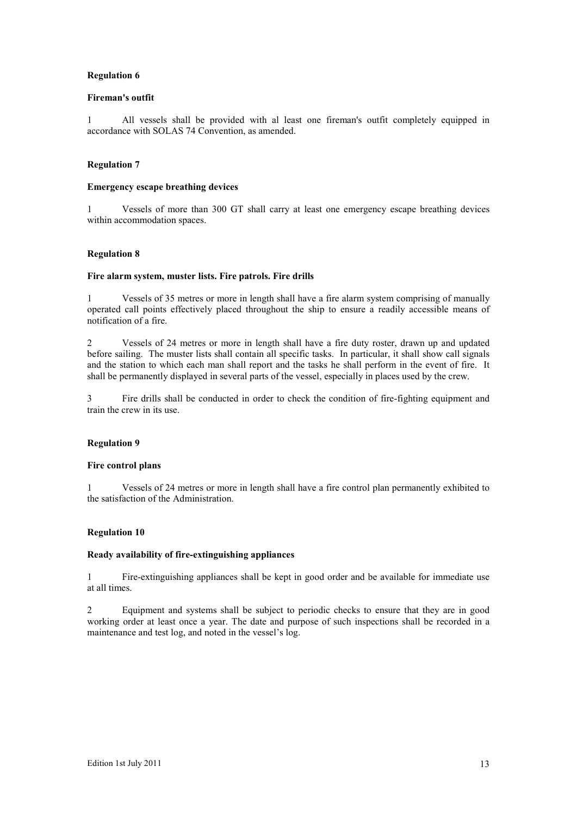# **Fireman's outfit**

1 All vessels shall be provided with al least one fireman's outfit completely equipped in accordance with SOLAS 74 Convention, as amended.

# **Regulation 7**

# **Emergency escape breathing devices**

1 Vessels of more than 300 GT shall carry at least one emergency escape breathing devices within accommodation spaces.

# **Regulation 8**

# **Fire alarm system, muster lists. Fire patrols. Fire drills**

1 Vessels of 35 metres or more in length shall have a fire alarm system comprising of manually operated call points effectively placed throughout the ship to ensure a readily accessible means of notification of a fire.

2 Vessels of 24 metres or more in length shall have a fire duty roster, drawn up and updated before sailing. The muster lists shall contain all specific tasks. In particular, it shall show call signals and the station to which each man shall report and the tasks he shall perform in the event of fire. It shall be permanently displayed in several parts of the vessel, especially in places used by the crew.

3 Fire drills shall be conducted in order to check the condition of fire-fighting equipment and train the crew in its use.

# **Regulation 9**

#### **Fire control plans**

1 Vessels of 24 metres or more in length shall have a fire control plan permanently exhibited to the satisfaction of the Administration.

# **Regulation 10**

#### **Ready availability of fire-extinguishing appliances**

1 Fire-extinguishing appliances shall be kept in good order and be available for immediate use at all times.

2 Equipment and systems shall be subject to periodic checks to ensure that they are in good working order at least once a year. The date and purpose of such inspections shall be recorded in a maintenance and test log, and noted in the vessel's log.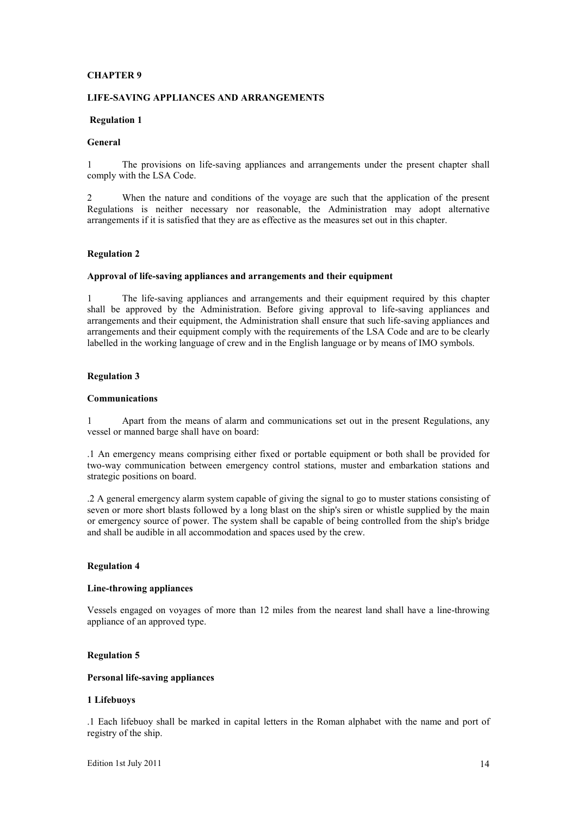# **CHAPTER 9**

#### **LIFE-SAVING APPLIANCES AND ARRANGEMENTS**

#### **Regulation 1**

# **General**

1 The provisions on life-saving appliances and arrangements under the present chapter shall comply with the LSA Code.

2 When the nature and conditions of the voyage are such that the application of the present Regulations is neither necessary nor reasonable, the Administration may adopt alternative arrangements if it is satisfied that they are as effective as the measures set out in this chapter.

## **Regulation 2**

#### **Approval of life-saving appliances and arrangements and their equipment**

1 The life-saving appliances and arrangements and their equipment required by this chapter shall be approved by the Administration. Before giving approval to life-saving appliances and arrangements and their equipment, the Administration shall ensure that such life-saving appliances and arrangements and their equipment comply with the requirements of the LSA Code and are to be clearly labelled in the working language of crew and in the English language or by means of IMO symbols.

#### **Regulation 3**

# **Communications**

1 Apart from the means of alarm and communications set out in the present Regulations, any vessel or manned barge shall have on board:

.1 An emergency means comprising either fixed or portable equipment or both shall be provided for two-way communication between emergency control stations, muster and embarkation stations and strategic positions on board.

.2 A general emergency alarm system capable of giving the signal to go to muster stations consisting of seven or more short blasts followed by a long blast on the ship's siren or whistle supplied by the main or emergency source of power. The system shall be capable of being controlled from the ship's bridge and shall be audible in all accommodation and spaces used by the crew.

#### **Regulation 4**

# **Line-throwing appliances**

Vessels engaged on voyages of more than 12 miles from the nearest land shall have a line-throwing appliance of an approved type.

# **Regulation 5**

# **Personal life-saving appliances**

# **1 Lifebuoys**

.1 Each lifebuoy shall be marked in capital letters in the Roman alphabet with the name and port of registry of the ship.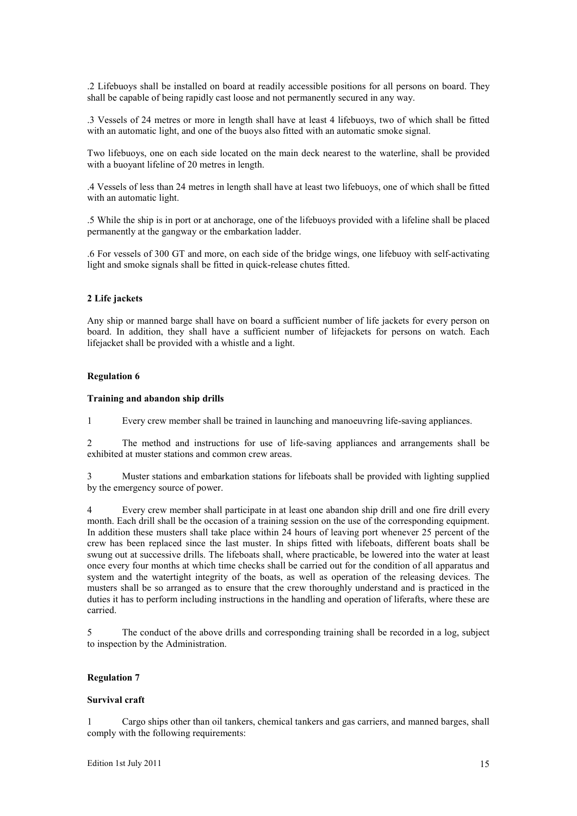.2 Lifebuoys shall be installed on board at readily accessible positions for all persons on board. They shall be capable of being rapidly cast loose and not permanently secured in any way.

.3 Vessels of 24 metres or more in length shall have at least 4 lifebuoys, two of which shall be fitted with an automatic light, and one of the buoys also fitted with an automatic smoke signal.

Two lifebuoys, one on each side located on the main deck nearest to the waterline, shall be provided with a buoyant lifeline of 20 metres in length.

.4 Vessels of less than 24 metres in length shall have at least two lifebuoys, one of which shall be fitted with an automatic light.

.5 While the ship is in port or at anchorage, one of the lifebuoys provided with a lifeline shall be placed permanently at the gangway or the embarkation ladder.

.6 For vessels of 300 GT and more, on each side of the bridge wings, one lifebuoy with self-activating light and smoke signals shall be fitted in quick-release chutes fitted.

## **2 Life jackets**

Any ship or manned barge shall have on board a sufficient number of life jackets for every person on board. In addition, they shall have a sufficient number of lifejackets for persons on watch. Each lifejacket shall be provided with a whistle and a light.

#### **Regulation 6**

## **Training and abandon ship drills**

1 Every crew member shall be trained in launching and manoeuvring life-saving appliances.

2 The method and instructions for use of life-saving appliances and arrangements shall be exhibited at muster stations and common crew areas.

3 Muster stations and embarkation stations for lifeboats shall be provided with lighting supplied by the emergency source of power.

4 Every crew member shall participate in at least one abandon ship drill and one fire drill every month. Each drill shall be the occasion of a training session on the use of the corresponding equipment. In addition these musters shall take place within 24 hours of leaving port whenever 25 percent of the crew has been replaced since the last muster. In ships fitted with lifeboats, different boats shall be swung out at successive drills. The lifeboats shall, where practicable, be lowered into the water at least once every four months at which time checks shall be carried out for the condition of all apparatus and system and the watertight integrity of the boats, as well as operation of the releasing devices. The musters shall be so arranged as to ensure that the crew thoroughly understand and is practiced in the duties it has to perform including instructions in the handling and operation of liferafts, where these are carried.

5 The conduct of the above drills and corresponding training shall be recorded in a log, subject to inspection by the Administration.

# **Regulation 7**

#### **Survival craft**

1 Cargo ships other than oil tankers, chemical tankers and gas carriers, and manned barges, shall comply with the following requirements: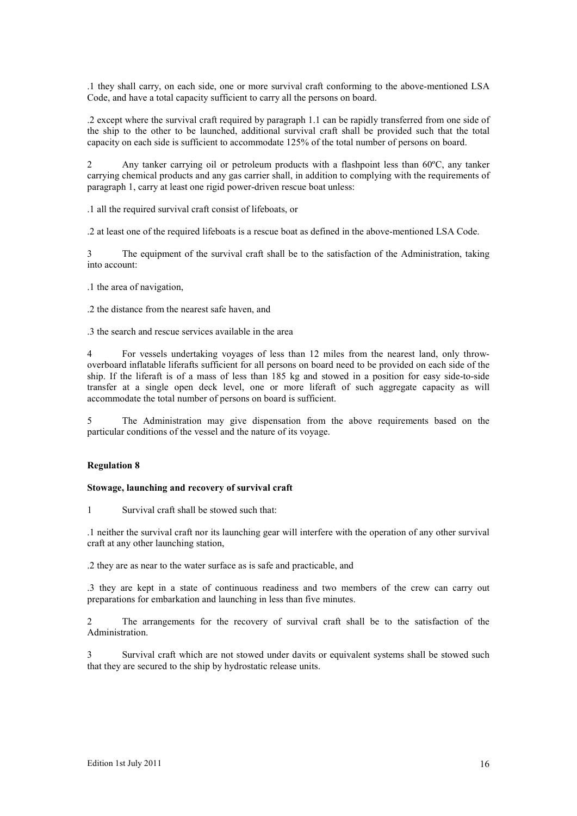.1 they shall carry, on each side, one or more survival craft conforming to the above-mentioned LSA Code, and have a total capacity sufficient to carry all the persons on board.

.2 except where the survival craft required by paragraph 1.1 can be rapidly transferred from one side of the ship to the other to be launched, additional survival craft shall be provided such that the total capacity on each side is sufficient to accommodate 125% of the total number of persons on board.

2 Any tanker carrying oil or petroleum products with a flashpoint less than 60ºC, any tanker carrying chemical products and any gas carrier shall, in addition to complying with the requirements of paragraph 1, carry at least one rigid power-driven rescue boat unless:

.1 all the required survival craft consist of lifeboats, or

.2 at least one of the required lifeboats is a rescue boat as defined in the above-mentioned LSA Code.

3 The equipment of the survival craft shall be to the satisfaction of the Administration, taking into account:

- .1 the area of navigation,
- .2 the distance from the nearest safe haven, and

.3 the search and rescue services available in the area

4 For vessels undertaking voyages of less than 12 miles from the nearest land, only throwoverboard inflatable liferafts sufficient for all persons on board need to be provided on each side of the ship. If the liferaft is of a mass of less than 185 kg and stowed in a position for easy side-to-side transfer at a single open deck level, one or more liferaft of such aggregate capacity as will accommodate the total number of persons on board is sufficient.

5 The Administration may give dispensation from the above requirements based on the particular conditions of the vessel and the nature of its voyage.

# **Regulation 8**

#### **Stowage, launching and recovery of survival craft**

1 Survival craft shall be stowed such that:

.1 neither the survival craft nor its launching gear will interfere with the operation of any other survival craft at any other launching station,

.2 they are as near to the water surface as is safe and practicable, and

.3 they are kept in a state of continuous readiness and two members of the crew can carry out preparations for embarkation and launching in less than five minutes.

2 The arrangements for the recovery of survival craft shall be to the satisfaction of the Administration.

3 Survival craft which are not stowed under davits or equivalent systems shall be stowed such that they are secured to the ship by hydrostatic release units.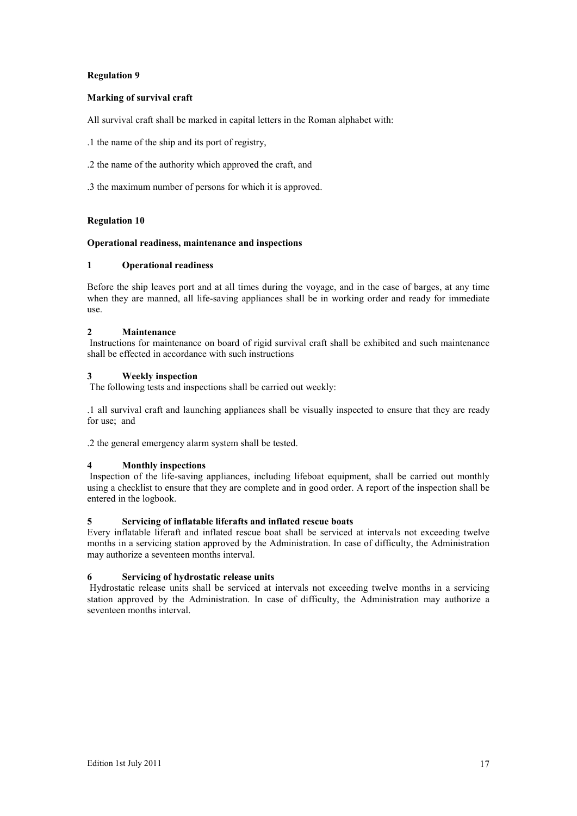# **Marking of survival craft**

All survival craft shall be marked in capital letters in the Roman alphabet with:

.1 the name of the ship and its port of registry,

- .2 the name of the authority which approved the craft, and
- .3 the maximum number of persons for which it is approved.

# **Regulation 10**

# **Operational readiness, maintenance and inspections**

# **1 Operational readiness**

Before the ship leaves port and at all times during the voyage, and in the case of barges, at any time when they are manned, all life-saving appliances shall be in working order and ready for immediate use.

# **2 Maintenance**

 Instructions for maintenance on board of rigid survival craft shall be exhibited and such maintenance shall be effected in accordance with such instructions

# **3 Weekly inspection**

The following tests and inspections shall be carried out weekly:

.1 all survival craft and launching appliances shall be visually inspected to ensure that they are ready for use; and

.2 the general emergency alarm system shall be tested.

# **4 Monthly inspections**

 Inspection of the life-saving appliances, including lifeboat equipment, shall be carried out monthly using a checklist to ensure that they are complete and in good order. A report of the inspection shall be entered in the logbook.

# **5 Servicing of inflatable liferafts and inflated rescue boats**

Every inflatable liferaft and inflated rescue boat shall be serviced at intervals not exceeding twelve months in a servicing station approved by the Administration. In case of difficulty, the Administration may authorize a seventeen months interval.

# **6 Servicing of hydrostatic release units**

 Hydrostatic release units shall be serviced at intervals not exceeding twelve months in a servicing station approved by the Administration. In case of difficulty, the Administration may authorize a seventeen months interval.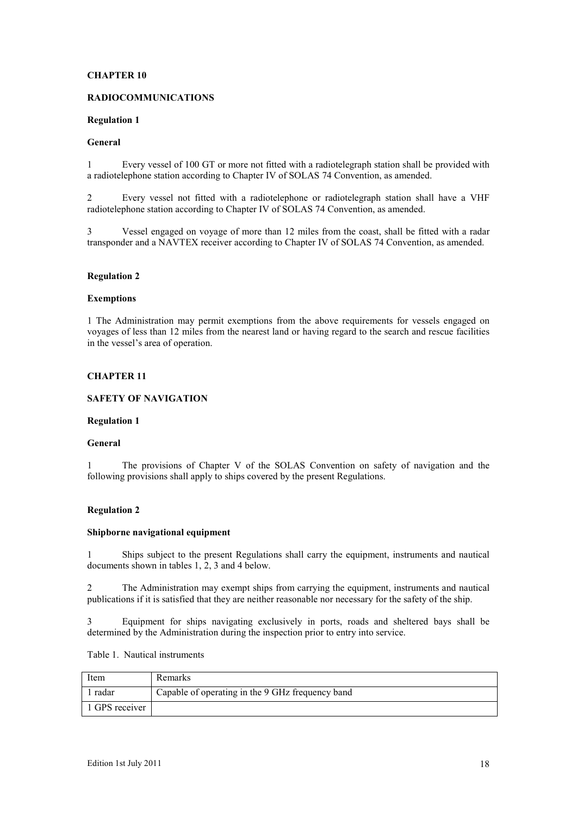# **CHAPTER 10**

# **RADIOCOMMUNICATIONS**

## **Regulation 1**

#### **General**

1 Every vessel of 100 GT or more not fitted with a radiotelegraph station shall be provided with a radiotelephone station according to Chapter IV of SOLAS 74 Convention, as amended.

2 Every vessel not fitted with a radiotelephone or radiotelegraph station shall have a VHF radiotelephone station according to Chapter IV of SOLAS 74 Convention, as amended.

3 Vessel engaged on voyage of more than 12 miles from the coast, shall be fitted with a radar transponder and a NAVTEX receiver according to Chapter IV of SOLAS 74 Convention, as amended.

## **Regulation 2**

#### **Exemptions**

1 The Administration may permit exemptions from the above requirements for vessels engaged on voyages of less than 12 miles from the nearest land or having regard to the search and rescue facilities in the vessel's area of operation.

# **CHAPTER 11**

# **SAFETY OF NAVIGATION**

#### **Regulation 1**

#### **General**

1 The provisions of Chapter V of the SOLAS Convention on safety of navigation and the following provisions shall apply to ships covered by the present Regulations.

# **Regulation 2**

#### **Shipborne navigational equipment**

1 Ships subject to the present Regulations shall carry the equipment, instruments and nautical documents shown in tables 1, 2, 3 and 4 below.

2 The Administration may exempt ships from carrying the equipment, instruments and nautical publications if it is satisfied that they are neither reasonable nor necessary for the safety of the ship.

3 Equipment for ships navigating exclusively in ports, roads and sheltered bays shall be determined by the Administration during the inspection prior to entry into service.

Table 1. Nautical instruments

| Item           | Remarks                                          |
|----------------|--------------------------------------------------|
| l radar        | Capable of operating in the 9 GHz frequency band |
| 1 GPS receiver |                                                  |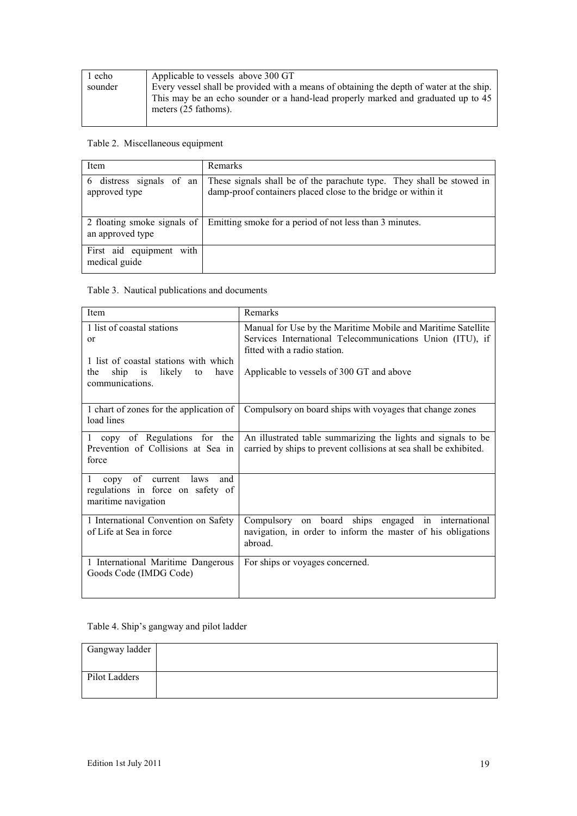| 1 echo  | Applicable to vessels above 300 GT                                                                                                                                                                    |
|---------|-------------------------------------------------------------------------------------------------------------------------------------------------------------------------------------------------------|
| sounder | Every vessel shall be provided with a means of obtaining the depth of water at the ship.<br>This may be an echo sounder or a hand-lead properly marked and graduated up to 45<br>meters (25 fathoms). |

# Table 2. Miscellaneous equipment

| Item                                            | Remarks                                                                                                                                |
|-------------------------------------------------|----------------------------------------------------------------------------------------------------------------------------------------|
| distress signals of an<br>6<br>approved type    | These signals shall be of the parachute type. They shall be stowed in<br>damp-proof containers placed close to the bridge or within it |
| 2 floating smoke signals of<br>an approved type | Emitting smoke for a period of not less than 3 minutes.                                                                                |
| First aid equipment with<br>medical guide       |                                                                                                                                        |

# Table 3. Nautical publications and documents

| Item                                                                                                                                                        | Remarks                                                                                                                                                                                                |
|-------------------------------------------------------------------------------------------------------------------------------------------------------------|--------------------------------------------------------------------------------------------------------------------------------------------------------------------------------------------------------|
| 1 list of coastal stations<br>$\alpha$<br>1 list of coastal stations with which<br>likely<br>ship<br>$\overline{1}$<br>have<br>to<br>the<br>communications. | Manual for Use by the Maritime Mobile and Maritime Satellite<br>Services International Telecommunications Union (ITU), if<br>fitted with a radio station.<br>Applicable to vessels of 300 GT and above |
| 1 chart of zones for the application of<br>load lines                                                                                                       | Compulsory on board ships with voyages that change zones                                                                                                                                               |
| 1 copy of Regulations for the<br>Prevention of Collisions at Sea in<br>force                                                                                | An illustrated table summarizing the lights and signals to be<br>carried by ships to prevent collisions at sea shall be exhibited.                                                                     |
| of current<br>1<br>laws<br>and<br>copy<br>regulations in force on safety of<br>maritime navigation                                                          |                                                                                                                                                                                                        |
| 1 International Convention on Safety<br>of Life at Sea in force                                                                                             | Compulsory on board ships engaged in international<br>navigation, in order to inform the master of his obligations<br>abroad.                                                                          |
| 1 International Maritime Dangerous<br>Goods Code (IMDG Code)                                                                                                | For ships or voyages concerned.                                                                                                                                                                        |

# Table 4. Ship's gangway and pilot ladder

| Gangway ladder |  |
|----------------|--|
|                |  |
| Pilot Ladders  |  |
|                |  |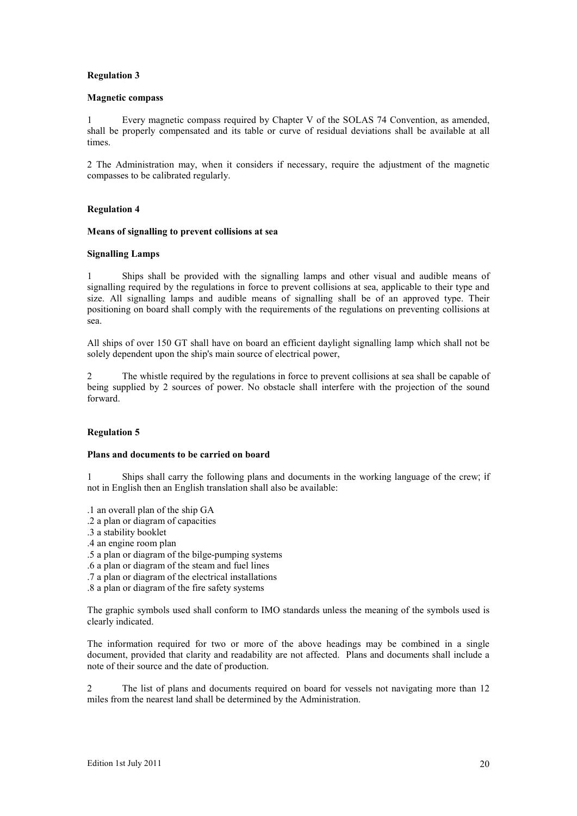#### **Magnetic compass**

1 Every magnetic compass required by Chapter V of the SOLAS 74 Convention, as amended, shall be properly compensated and its table or curve of residual deviations shall be available at all times.

2 The Administration may, when it considers if necessary, require the adjustment of the magnetic compasses to be calibrated regularly.

# **Regulation 4**

#### **Means of signalling to prevent collisions at sea**

## **Signalling Lamps**

1 Ships shall be provided with the signalling lamps and other visual and audible means of signalling required by the regulations in force to prevent collisions at sea, applicable to their type and size. All signalling lamps and audible means of signalling shall be of an approved type. Their positioning on board shall comply with the requirements of the regulations on preventing collisions at sea.

All ships of over 150 GT shall have on board an efficient daylight signalling lamp which shall not be solely dependent upon the ship's main source of electrical power,

2 The whistle required by the regulations in force to prevent collisions at sea shall be capable of being supplied by 2 sources of power. No obstacle shall interfere with the projection of the sound forward.

# **Regulation 5**

#### **Plans and documents to be carried on board**

1 Ships shall carry the following plans and documents in the working language of the crew; if not in English then an English translation shall also be available:

- .1 an overall plan of the ship GA
- .2 a plan or diagram of capacities
- .3 a stability booklet
- .4 an engine room plan
- .5 a plan or diagram of the bilge-pumping systems
- .6 a plan or diagram of the steam and fuel lines
- .7 a plan or diagram of the electrical installations
- .8 a plan or diagram of the fire safety systems

The graphic symbols used shall conform to IMO standards unless the meaning of the symbols used is clearly indicated.

The information required for two or more of the above headings may be combined in a single document, provided that clarity and readability are not affected. Plans and documents shall include a note of their source and the date of production.

2 The list of plans and documents required on board for vessels not navigating more than 12 miles from the nearest land shall be determined by the Administration.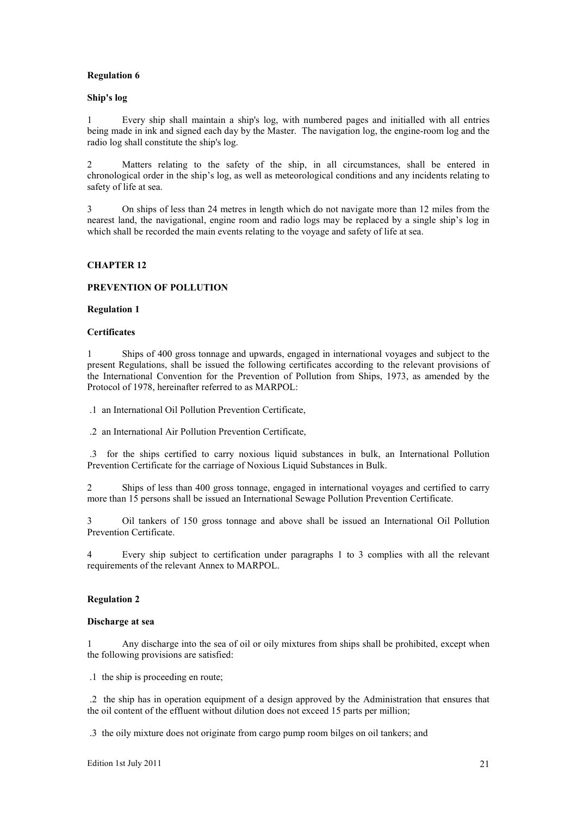#### **Ship's log**

1 Every ship shall maintain a ship's log, with numbered pages and initialled with all entries being made in ink and signed each day by the Master. The navigation log, the engine-room log and the radio log shall constitute the ship's log.

2 Matters relating to the safety of the ship, in all circumstances, shall be entered in chronological order in the ship's log, as well as meteorological conditions and any incidents relating to safety of life at sea.

3 On ships of less than 24 metres in length which do not navigate more than 12 miles from the nearest land, the navigational, engine room and radio logs may be replaced by a single ship's log in which shall be recorded the main events relating to the voyage and safety of life at sea.

# **CHAPTER 12**

## **PREVENTION OF POLLUTION**

#### **Regulation 1**

#### **Certificates**

1 Ships of 400 gross tonnage and upwards, engaged in international voyages and subject to the present Regulations, shall be issued the following certificates according to the relevant provisions of the International Convention for the Prevention of Pollution from Ships, 1973, as amended by the Protocol of 1978, hereinafter referred to as MARPOL:

.1 an International Oil Pollution Prevention Certificate,

.2 an International Air Pollution Prevention Certificate,

 .3 for the ships certified to carry noxious liquid substances in bulk, an International Pollution Prevention Certificate for the carriage of Noxious Liquid Substances in Bulk.

2 Ships of less than 400 gross tonnage, engaged in international voyages and certified to carry more than 15 persons shall be issued an International Sewage Pollution Prevention Certificate.

3 Oil tankers of 150 gross tonnage and above shall be issued an International Oil Pollution Prevention Certificate.

4 Every ship subject to certification under paragraphs 1 to 3 complies with all the relevant requirements of the relevant Annex to MARPOL.

## **Regulation 2**

#### **Discharge at sea**

1 Any discharge into the sea of oil or oily mixtures from ships shall be prohibited, except when the following provisions are satisfied:

.1 the ship is proceeding en route;

 .2 the ship has in operation equipment of a design approved by the Administration that ensures that the oil content of the effluent without dilution does not exceed 15 parts per million;

.3 the oily mixture does not originate from cargo pump room bilges on oil tankers; and